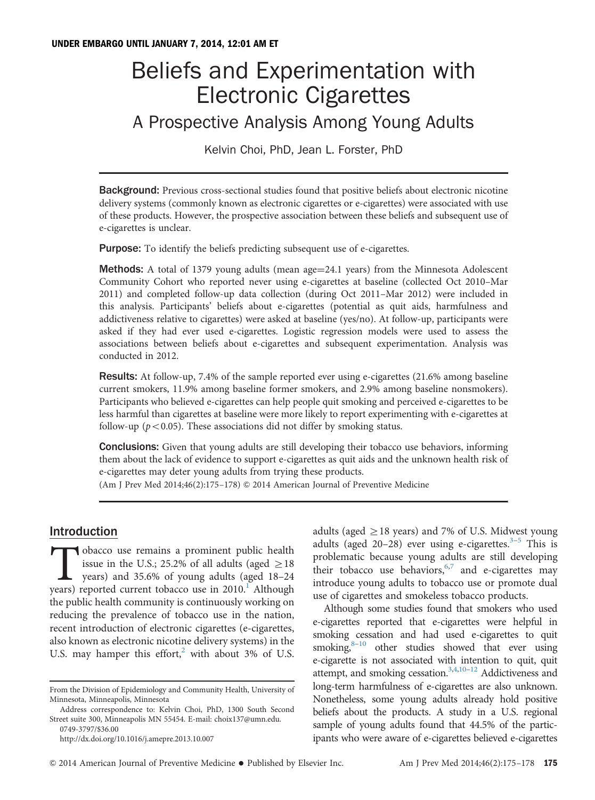# Beliefs and Experimentation with Electronic Cigarettes A Prospective Analysis Among Young Adults

Kelvin Choi, PhD, Jean L. Forster, PhD

**Background:** Previous cross-sectional studies found that positive beliefs about electronic nicotine delivery systems (commonly known as electronic cigarettes or e-cigarettes) were associated with use of these products. However, the prospective association between these beliefs and subsequent use of e-cigarettes is unclear.

**Purpose:** To identify the beliefs predicting subsequent use of e-cigarettes.

**Methods:** A total of 1379 young adults (mean age $=$ 24.1 years) from the Minnesota Adolescent Community Cohort who reported never using e-cigarettes at baseline (collected Oct 2010–Mar 2011) and completed follow-up data collection (during Oct 2011–Mar 2012) were included in this analysis. Participants' beliefs about e-cigarettes (potential as quit aids, harmfulness and addictiveness relative to cigarettes) were asked at baseline (yes/no). At follow-up, participants were asked if they had ever used e-cigarettes. Logistic regression models were used to assess the associations between beliefs about e-cigarettes and subsequent experimentation. Analysis was conducted in 2012.

Results: At follow-up, 7.4% of the sample reported ever using e-cigarettes (21.6% among baseline current smokers, 11.9% among baseline former smokers, and 2.9% among baseline nonsmokers). Participants who believed e-cigarettes can help people quit smoking and perceived e-cigarettes to be less harmful than cigarettes at baseline were more likely to report experimenting with e-cigarettes at follow-up ( $p < 0.05$ ). These associations did not differ by smoking status.

**Conclusions:** Given that young adults are still developing their tobacco use behaviors, informing them about the lack of evidence to support e-cigarettes as quit aids and the unknown health risk of e-cigarettes may deter young adults from trying these products.

(Am J Prev Med 2014;46(2):175–178) & 2014 American Journal of Preventive Medicine

# Introduction

Tobacco use remains a prominent public health issue in the U.S.; 25.2% of all adults (aged  $\geq$  18 years) and 35.6% of young adults (aged 18–24 years) reported current tobacco use in  $2010<sup>1</sup>$  Although the public health community is continuously working on reducing the prevalence of tobacco use in the nation, recent introduction of electronic cigarettes (e-cigarettes, also known as electronic nicotine delivery systems) in the U.S. may hamper this effort, $^2$  $^2$  with about 3% of U.S.

Address correspondence to: Kelvin Choi, PhD, 1300 South Second Street suite 300, Minneapolis MN 55454. E-mail: [choix137@umn.edu.](mailto:choix137@umn.edu) 0749-3797/\$36.00

[http://dx.doi.org/10.1016/j.amepre.2013.10.007](dx.doi.org/10.1016/j.amepre.2013.10.007)

adults (aged  $\geq$  18 years) and 7% of U.S. Midwest young adults (aged 20–28) ever using e-cigarettes.<sup>[3](#page-2-0)–[5](#page-3-0)</sup> This is problematic because young adults are still developing their tobacco use behaviors,  $6,7$  $6,7$  and e-cigarettes may introduce young adults to tobacco use or promote dual use of cigarettes and smokeless tobacco products.

Although some studies found that smokers who used e-cigarettes reported that e-cigarettes were helpful in smoking cessation and had used e-cigarettes to quit smoking, $8-10$  $8-10$  other studies showed that ever using e-cigarette is not associated with intention to quit, quit attempt, and smoking cessation.<sup>3,4[,10](#page-3-0)-[12](#page-3-0)</sup> Addictiveness and long-term harmfulness of e-cigarettes are also unknown. Nonetheless, some young adults already hold positive beliefs about the products. A study in a U.S. regional sample of young adults found that 44.5% of the participants who were aware of e-cigarettes believed e-cigarettes

From the Division of Epidemiology and Community Health, University of Minnesota, Minneapolis, Minnesota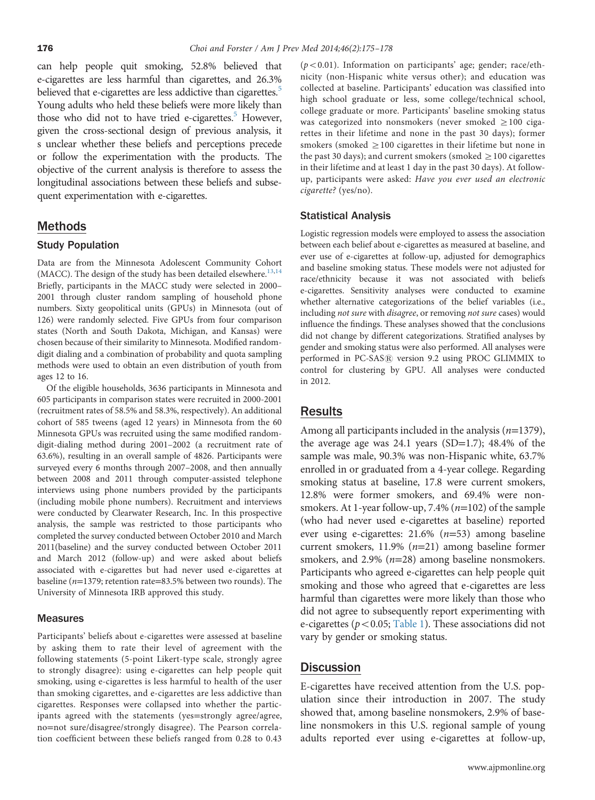can help people quit smoking, 52.8% believed that e-cigarettes are less harmful than cigarettes, and 26.3% believed that e-cigarettes are less addictive than cigarettes.<sup>5</sup> Young adults who held these beliefs were more likely than those who did not to have tried e-cigarettes.<sup>5</sup> However, given the cross-sectional design of previous analysis, it s unclear whether these beliefs and perceptions precede or follow the experimentation with the products. The objective of the current analysis is therefore to assess the longitudinal associations between these beliefs and subsequent experimentation with e-cigarettes.

### Methods

#### Study Population

Data are from the Minnesota Adolescent Community Cohort (MACC). The design of the study has been detailed elsewhere.<sup>[13](#page-3-0),[14](#page-3-0)</sup> Briefly, participants in the MACC study were selected in 2000– 2001 through cluster random sampling of household phone numbers. Sixty geopolitical units (GPUs) in Minnesota (out of 126) were randomly selected. Five GPUs from four comparison states (North and South Dakota, Michigan, and Kansas) were chosen because of their similarity to Minnesota. Modified randomdigit dialing and a combination of probability and quota sampling methods were used to obtain an even distribution of youth from ages 12 to 16.

Of the eligible households, 3636 participants in Minnesota and 605 participants in comparison states were recruited in 2000-2001 (recruitment rates of 58.5% and 58.3%, respectively). An additional cohort of 585 tweens (aged 12 years) in Minnesota from the 60 Minnesota GPUs was recruited using the same modified randomdigit-dialing method during 2001–2002 (a recruitment rate of 63.6%), resulting in an overall sample of 4826. Participants were surveyed every 6 months through 2007–2008, and then annually between 2008 and 2011 through computer-assisted telephone interviews using phone numbers provided by the participants (including mobile phone numbers). Recruitment and interviews were conducted by Clearwater Research, Inc. In this prospective analysis, the sample was restricted to those participants who completed the survey conducted between October 2010 and March 2011(baseline) and the survey conducted between October 2011 and March 2012 (follow-up) and were asked about beliefs associated with e-cigarettes but had never used e-cigarettes at baseline ( $n=1379$ ; retention rate=83.5% between two rounds). The University of Minnesota IRB approved this study.

#### **Measures**

Participants' beliefs about e-cigarettes were assessed at baseline by asking them to rate their level of agreement with the following statements (5-point Likert-type scale, strongly agree to strongly disagree): using e-cigarettes can help people quit smoking, using e-cigarettes is less harmful to health of the user than smoking cigarettes, and e-cigarettes are less addictive than cigarettes. Responses were collapsed into whether the participants agreed with the statements (yes=strongly agree/agree, no=not sure/disagree/strongly disagree). The Pearson correlation coefficient between these beliefs ranged from 0.28 to 0.43

 $(p<0.01)$ . Information on participants' age; gender; race/ethnicity (non-Hispanic white versus other); and education was collected at baseline. Participants' education was classified into high school graduate or less, some college/technical school, college graduate or more. Participants' baseline smoking status was categorized into nonsmokers (never smoked  $\geq$ 100 cigarettes in their lifetime and none in the past 30 days); former smokers (smoked  $\geq$  100 cigarettes in their lifetime but none in the past 30 days); and current smokers (smoked  $\geq$  100 cigarettes in their lifetime and at least 1 day in the past 30 days). At followup, participants were asked: Have you ever used an electronic cigarette? (yes/no).

#### Statistical Analysis

Logistic regression models were employed to assess the association between each belief about e-cigarettes as measured at baseline, and ever use of e-cigarettes at follow-up, adjusted for demographics and baseline smoking status. These models were not adjusted for race/ethnicity because it was not associated with beliefs e-cigarettes. Sensitivity analyses were conducted to examine whether alternative categorizations of the belief variables (i.e., including not sure with disagree, or removing not sure cases) would influence the findings. These analyses showed that the conclusions did not change by different categorizations. Stratified analyses by gender and smoking status were also performed. All analyses were performed in PC-SAS® version 9.2 using PROC GLIMMIX to control for clustering by GPU. All analyses were conducted in 2012.

## Results

Among all participants included in the analysis  $(n=1379)$ , the average age was 24.1 years (SD=1.7); 48.4% of the sample was male, 90.3% was non-Hispanic white, 63.7% enrolled in or graduated from a 4-year college. Regarding smoking status at baseline, 17.8 were current smokers, 12.8% were former smokers, and 69.4% were nonsmokers. At 1-year follow-up,  $7.4\%$  ( $n=102$ ) of the sample (who had never used e-cigarettes at baseline) reported ever using e-cigarettes:  $21.6\%$  ( $n=53$ ) among baseline current smokers,  $11.9\%$  ( $n=21$ ) among baseline former smokers, and  $2.9\%$  ( $n=28$ ) among baseline nonsmokers. Participants who agreed e-cigarettes can help people quit smoking and those who agreed that e-cigarettes are less harmful than cigarettes were more likely than those who did not agree to subsequently report experimenting with e-cigarettes ( $p < 0.05$ ; [Table 1](#page-2-0)). These associations did not vary by gender or smoking status.

### **Discussion**

E-cigarettes have received attention from the U.S. population since their introduction in 2007. The study showed that, among baseline nonsmokers, 2.9% of baseline nonsmokers in this U.S. regional sample of young adults reported ever using e-cigarettes at follow-up,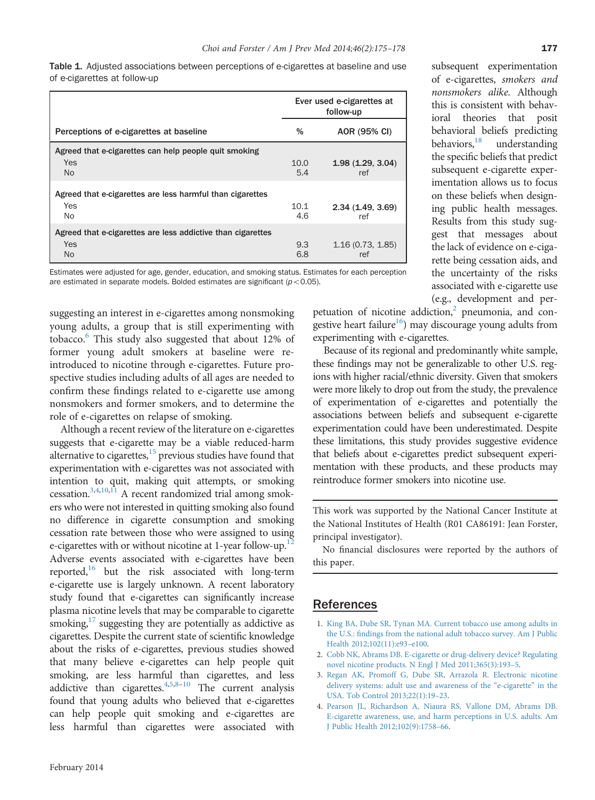<span id="page-2-0"></span>Table 1. Adjusted associations between perceptions of e-cigarettes at baseline and use of e-cigarettes at follow-up

|                                                             | Ever used e-cigarettes at<br>follow-up |                         |
|-------------------------------------------------------------|----------------------------------------|-------------------------|
| Perceptions of e-cigarettes at baseline                     | %                                      | AOR (95% CI)            |
| Agreed that e-cigarettes can help people quit smoking       |                                        |                         |
| Yes<br><b>No</b>                                            | 10.0<br>5.4                            | 1.98(1.29, 3.04)<br>ref |
| Agreed that e-cigarettes are less harmful than cigarettes   |                                        |                         |
| Yes<br>No.                                                  | 10.1<br>4.6                            | 2.34(1.49, 3.69)<br>ref |
| Agreed that e-cigarettes are less addictive than cigarettes |                                        |                         |
| <b>Yes</b><br><b>No</b>                                     | 9.3<br>6.8                             | 1.16(0.73, 1.85)<br>ref |

Estimates were adjusted for age, gender, education, and smoking status. Estimates for each perception are estimated in separate models. Bolded estimates are significant ( $p < 0.05$ ).

suggesting an interest in e-cigarettes among nonsmoking young adults, a group that is still experimenting with tobacco[.6](#page-3-0) This study also suggested that about 12% of former young adult smokers at baseline were reintroduced to nicotine through e-cigarettes. Future prospective studies including adults of all ages are needed to confirm these findings related to e-cigarette use among nonsmokers and former smokers, and to determine the role of e-cigarettes on relapse of smoking.

Although a recent review of the literature on e-cigarettes suggests that e-cigarette may be a viable reduced-harm alternative to cigarettes, $15$  previous studies have found that experimentation with e-cigarettes was not associated with intention to quit, making quit attempts, or smoking cessation.3,4,[10,11](#page-3-0) A recent randomized trial among smokers who were not interested in quitting smoking also found no difference in cigarette consumption and smoking cessation rate between those who were assigned to using e-cigarettes with or without nicotine at  $1$ -year follow-up.<sup>1</sup> Adverse events associated with e-cigarettes have been reported,<sup>16</sup> but the risk associated with long-term e-cigarette use is largely unknown. A recent laboratory study found that e-cigarettes can significantly increase plasma nicotine levels that may be comparable to cigarette smoking,<sup>17</sup> suggesting they are potentially as addictive as cigarettes. Despite the current state of scientific knowledge about the risks of e-cigarettes, previous studies showed that many believe e-cigarettes can help people quit smoking, are less harmful than cigarettes, and less addictive than cigarettes. $4,5,8-10$  $4,5,8-10$  $4,5,8-10$  $4,5,8-10$  The current analysis found that young adults who believed that e-cigarettes can help people quit smoking and e-cigarettes are less harmful than cigarettes were associated with subsequent experimentation of e-cigarettes, smokers and nonsmokers alike. Although this is consistent with behavioral theories that posit behavioral beliefs predicting behaviors,<sup>18</sup> understanding the specific beliefs that predict subsequent e-cigarette experimentation allows us to focus on these beliefs when designing public health messages. Results from this study suggest that messages about the lack of evidence on e-cigarette being cessation aids, and the uncertainty of the risks associated with e-cigarette use (e.g., development and per-

petuation of nicotine addiction, $2$  pneumonia, and congestive heart failure<sup>16</sup>) may discourage young adults from experimenting with e-cigarettes.

Because of its regional and predominantly white sample, these findings may not be generalizable to other U.S. regions with higher racial/ethnic diversity. Given that smokers were more likely to drop out from the study, the prevalence of experimentation of e-cigarettes and potentially the associations between beliefs and subsequent e-cigarette experimentation could have been underestimated. Despite these limitations, this study provides suggestive evidence that beliefs about e-cigarettes predict subsequent experimentation with these products, and these products may reintroduce former smokers into nicotine use.

This work was supported by the National Cancer Institute at the National Institutes of Health (R01 CA86191: Jean Forster, principal investigator).

No financial disclosures were reported by the authors of this paper.

# References

- 1. [King BA, Dube SR, Tynan MA. Current tobacco use among adults in](http://refhub.elsevier.com/S0749-3797(13)00580-1/sbref1) the U.S.: fi[ndings from the national adult tobacco survey. Am J Public](http://refhub.elsevier.com/S0749-3797(13)00580-1/sbref1) [Health 2012;102\(11\):e93](http://refhub.elsevier.com/S0749-3797(13)00580-1/sbref1)–e100.
- 2. [Cobb NK, Abrams DB. E-cigarette or drug-delivery device? Regulating](http://refhub.elsevier.com/S0749-3797(13)00580-1/sbref2) [novel nicotine products. N Engl J Med 2011;365\(3\):193](http://refhub.elsevier.com/S0749-3797(13)00580-1/sbref2)–5.
- 3. [Regan AK, Promoff G, Dube SR, Arrazola R. Electronic nicotine](http://refhub.elsevier.com/S0749-3797(13)00580-1/sbref3) [delivery systems: adult use and awareness of the](http://refhub.elsevier.com/S0749-3797(13)00580-1/sbref3) "e-cigarette" in the [USA. Tob Control 2013;22\(1\):19](http://refhub.elsevier.com/S0749-3797(13)00580-1/sbref3)–23.
- 4. [Pearson JL, Richardson A, Niaura RS, Vallone DM, Abrams DB.](http://refhub.elsevier.com/S0749-3797(13)00580-1/sbref4) [E-cigarette awareness, use, and harm perceptions in U.S. adults. Am](http://refhub.elsevier.com/S0749-3797(13)00580-1/sbref4) [J Public Health 2012;102\(9\):1758](http://refhub.elsevier.com/S0749-3797(13)00580-1/sbref4)–66.